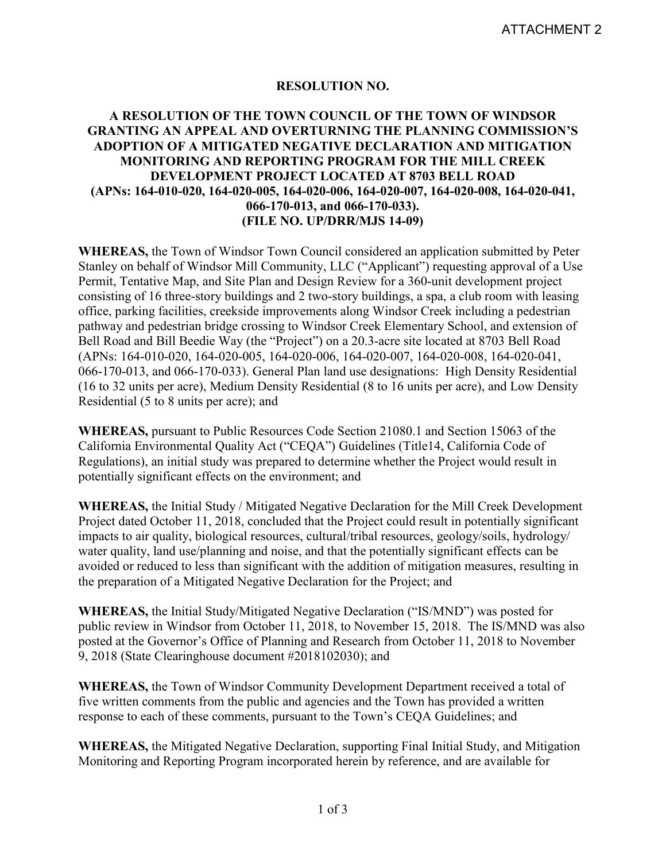## **RESOLUTION NO.**

## **A RESOLUTION OF THE TOWN COUNCIL OF THE TOWN OF WINDSOR GRANTING AN APPEAL AND OVERTURNING THE PLANNING COMMISSION'S ADOPTION OF A MITIGATED NEGATIVE DECLARATION AND MITIGATION MONITORING AND REPORTING PROGRAM FOR THE MILL CREEK DEVELOPMENT PROJECT LOCATED AT 8703 BELL ROAD (APNs: 164-010-020, 164-020-005, 164-020-006, 164-020-007, 164-020-008, 164-020-041, 066-170-013, and 066-170-033). (FILE NO. UP/DRR/MJS 14-09)**

**WHEREAS,** the Town of Windsor Town Council considered an application submitted by Peter Stanley on behalf of Windsor Mill Community, LLC ("Applicant") requesting approval of a Use Permit, Tentative Map, and Site Plan and Design Review for a 360-unit development project consisting of 16 three-story buildings and 2 two-story buildings, a spa, a club room with leasing office, parking facilities, creekside improvements along Windsor Creek including a pedestrian pathway and pedestrian bridge crossing to Windsor Creek Elementary School, and extension of Bell Road and Bill Beedie Way (the "Project") on a 20.3-acre site located at 8703 Bell Road (APNs: 164-010-020, 164-020-005, 164-020-006, 164-020-007, 164-020-008, 164-020-041, 066-170-013, and 066-170-033). General Plan land use designations: High Density Residential (16 to 32 units per acre), Medium Density Residential (8 to 16 units per acre), and Low Density Residential (5 to 8 units per acre); and

**WHEREAS,** pursuant to Public Resources Code Section 21080.1 and Section 15063 of the California Environmental Quality Act ("CEQA") Guidelines (Title14, California Code of Regulations), an initial study was prepared to determine whether the Project would result in potentially significant effects on the environment; and

**WHEREAS,** the Initial Study / Mitigated Negative Declaration for the Mill Creek Development Project dated October 11, 2018, concluded that the Project could result in potentially significant impacts to air quality, biological resources, cultural/tribal resources, geology/soils, hydrology/ water quality, land use/planning and noise, and that the potentially significant effects can be avoided or reduced to less than significant with the addition of mitigation measures, resulting in the preparation of a Mitigated Negative Declaration for the Project; and

**WHEREAS,** the Initial Study/Mitigated Negative Declaration ("IS/MND") was posted for public review in Windsor from October 11, 2018, to November 15, 2018. The IS/MND was also posted at the Governor's Office of Planning and Research from October 11, 2018 to November 9, 2018 (State Clearinghouse document #2018102030); and

**WHEREAS,** the Town of Windsor Community Development Department received a total of five written comments from the public and agencies and the Town has provided a written response to each of these comments, pursuant to the Town's CEQA Guidelines; and

**WHEREAS,** the Mitigated Negative Declaration, supporting Final Initial Study, and Mitigation Monitoring and Reporting Program incorporated herein by reference, and are available for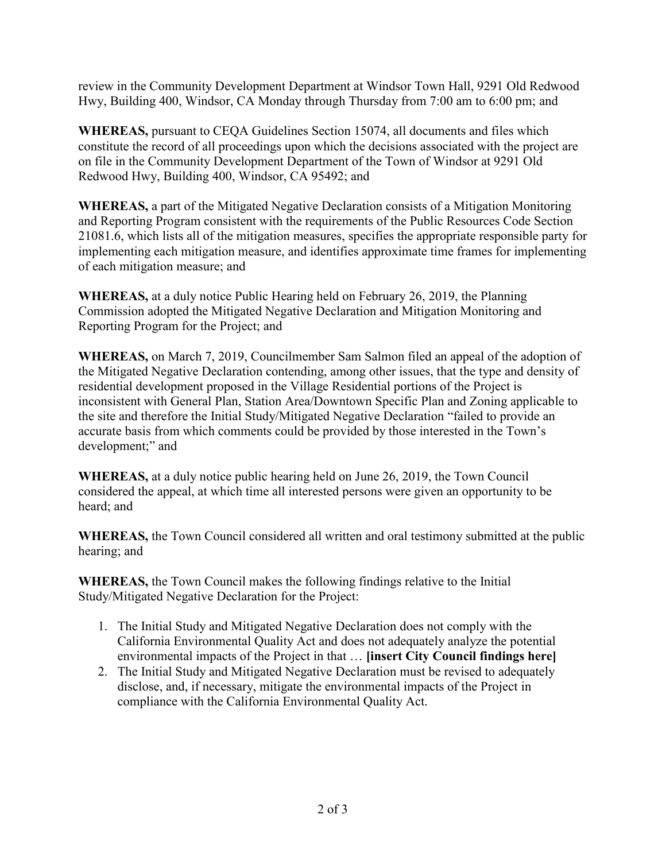review in the Community Development Department at Windsor Town Hall, 9291 Old Redwood Hwy, Building 400, Windsor, CA Monday through Thursday from 7:00 am to 6:00 pm; and

**WHEREAS,** pursuant to CEQA Guidelines Section 15074, all documents and files which constitute the record of all proceedings upon which the decisions associated with the project are on file in the Community Development Department of the Town of Windsor at 9291 Old Redwood Hwy, Building 400, Windsor, CA 95492; and

**WHEREAS,** a part of the Mitigated Negative Declaration consists of a Mitigation Monitoring and Reporting Program consistent with the requirements of the Public Resources Code Section 21081.6, which lists all of the mitigation measures, specifies the appropriate responsible party for implementing each mitigation measure, and identifies approximate time frames for implementing of each mitigation measure; and

**WHEREAS,** at a duly notice Public Hearing held on February 26, 2019, the Planning Commission adopted the Mitigated Negative Declaration and Mitigation Monitoring and Reporting Program for the Project; and

**WHEREAS,** on March 7, 2019, Councilmember Sam Salmon filed an appeal of the adoption of the Mitigated Negative Declaration contending, among other issues, that the type and density of residential development proposed in the Village Residential portions of the Project is inconsistent with General Plan, Station Area/Downtown Specific Plan and Zoning applicable to the site and therefore the Initial Study/Mitigated Negative Declaration "failed to provide an accurate basis from which comments could be provided by those interested in the Town's development;" and

**WHEREAS,** at a duly notice public hearing held on June 26, 2019, the Town Council considered the appeal, at which time all interested persons were given an opportunity to be heard; and

**WHEREAS,** the Town Council considered all written and oral testimony submitted at the public hearing; and

**WHEREAS,** the Town Council makes the following findings relative to the Initial Study/Mitigated Negative Declaration for the Project:

- 1. The Initial Study and Mitigated Negative Declaration does not comply with the California Environmental Quality Act and does not adequately analyze the potential environmental impacts of the Project in that … **[insert City Council findings here]**
- 2. The Initial Study and Mitigated Negative Declaration must be revised to adequately disclose, and, if necessary, mitigate the environmental impacts of the Project in compliance with the California Environmental Quality Act.